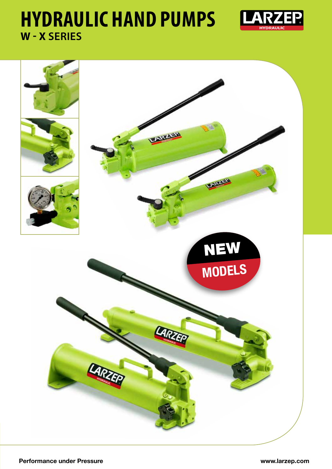# **HYDRAULIC HAND PUMPS W - X SERIES**



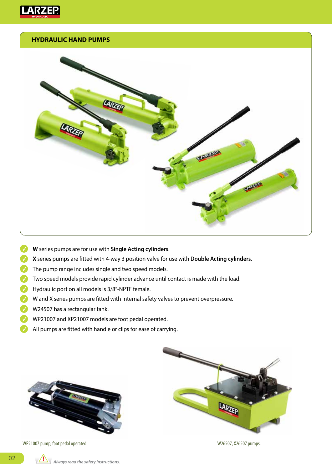

#### **HYDRAULIC HAND PUMPS**



- **W** series pumps are for use with **Single Acting cylinders**.
- **X** series pumps are fitted with 4-way 3 position valve for use with **Double Acting cylinders**.  $\mathcal{L}$
- The pump range includes single and two speed models.
- Two speed models provide rapid cylinder advance until contact is made with the load.
- Hydraulic port on all models is 3/8"-NPTF female.
- $\blacktriangleright$  W and X series pumps are fitted with internal safety valves to prevent overpressure.
- $W24507$  has a rectangular tank.
- WP21007 and XP21007 models are foot pedal operated.
- All pumps are fitted with handle or clips for ease of carrying.  $\sqrt{}$



WP21007 pump, foot pedal operated. WEDEN 1000 and the US of the W26507, X26507 pumps.

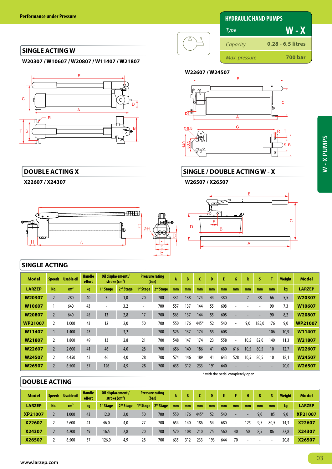## **HYDRAULIC HAND PUMPS**

#### **SINGLE ACTING W**

**W20307 / W10607 / W20807 / W11407 / W21807**



#### **DOUBLE ACTING X**

**X22607 / X24307**



#### **SINGLE ACTING**

| <b>Model</b>   | <b>Speeds</b>  | <b>Usable oil</b> | <b>Handle</b><br>effort | Oil displacement /<br>stroke (cm <sup>3</sup> ) |                       | <b>Pressure rating</b><br>(bar) |                       | Α   | B   |      | Đ   |     | G                            | R    |                          |     | <b>Weight</b> | <b>Model</b>   |
|----------------|----------------|-------------------|-------------------------|-------------------------------------------------|-----------------------|---------------------------------|-----------------------|-----|-----|------|-----|-----|------------------------------|------|--------------------------|-----|---------------|----------------|
| <b>LARZEP</b>  | No.            | cm <sup>3</sup>   | kg                      | 1 <sup>st</sup> Stage                           | 2 <sup>nd</sup> Stage | 1 <sup>st</sup> Stage           | 2 <sup>nd</sup> Stage | mm  | mm  | mm   | mm  | mm  | mm                           | mm   | mm                       | mm  | kg            | <b>LARZEP</b>  |
| W20307         |                | 280               | 40                      |                                                 | 1,0                   | 20                              | 700                   | 331 | 138 | 124  | 44  | 380 |                              |      | 38                       | 66  | 5,5           | W20307         |
| W10607         |                | 640               | 43                      | $\overline{\phantom{a}}$                        | 3,2                   | $\blacksquare$                  | 700                   | 557 | 137 | 144  | 55  | 608 |                              |      |                          | 90  | 7,3           | W10607         |
| W20807         |                | 640               | 45                      | 13                                              | 2,8                   | 17                              | 700                   | 563 | 137 | 144  | 55  | 608 |                              |      |                          | 90  | 8,2           | W20807         |
| <b>WP21007</b> |                | 1.000             | 43                      | 12                                              | 2,0                   | 50                              | 700                   | 550 | 176 | 445* | 52  | 540 | $\overline{\phantom{a}}$     | 9,0  | 185,0                    | 176 | 9,0           | <b>WP21007</b> |
| W11407         |                | 1.400             | 43                      | ٠                                               | 3,2                   | $\overline{\phantom{a}}$        | 700                   | 526 | 137 | 174  | 55  | 608 | $\overline{\phantom{a}}$     |      | $\overline{\phantom{0}}$ | 106 | 10,9          | W11407         |
| W21807         |                | 1.800             | 49                      | 13                                              | 2,8                   | 21                              | 700                   | 548 | 147 | 174  | 23  | 558 | $\qquad \qquad \blacksquare$ | 10.5 | 82,0                     | 140 | 11,3          | W21807         |
| W22607         | $\overline{2}$ | 2.600             | 41                      | 46                                              | 4,0                   | 28                              | 700                   | 656 | 140 | 186  | 41  | 680 | 616                          | 10,5 | 80,5                     | 10  | 12,7          | W22607         |
| W24507         |                | 4.450             | 43                      | 46                                              | 4,0                   | 28                              | 700                   | 574 | 146 | 189  | 41  | 643 | 528                          | 10,5 | 80,5                     | 10  | 18,1          | W24507         |
| W26507         | $\overline{2}$ | 6.500             | 37                      | 126                                             | 4,9                   | 28                              | 700                   | 635 | 312 | 233  | 191 | 640 |                              |      |                          |     | 20,0          | W26507         |

#### **DOUBLE ACTING**

| <b>Model</b>   | Speeds | Usable oil      | <b>Handle</b><br>effort | Oil displacement /<br>stroke (cm <sup>3</sup> ) |                       | <b>Pressure rating</b><br>(bar) |                       | A   | B   |      | D   |     |                          | н   | $\mathbb{R}$ | s    | <b>Weight</b> | <b>Model</b>   |
|----------------|--------|-----------------|-------------------------|-------------------------------------------------|-----------------------|---------------------------------|-----------------------|-----|-----|------|-----|-----|--------------------------|-----|--------------|------|---------------|----------------|
| <b>LARZEP</b>  | No.    | cm <sup>2</sup> | kg                      | 1 <sup>st</sup> Stage                           | 2 <sup>nd</sup> Stage | 1 <sup>st</sup> Stage           | 2 <sup>nd</sup> Stage | mm  | mm  | mm   | mm  | mm  | mm                       | mm  | mm           | mm   | <b>kg</b>     | <b>LARZEP</b>  |
| <b>XP21007</b> |        | 1.000           | 43                      | 12,0                                            | 2,0                   | 50                              | 700                   | 550 | 176 | 445* | 52  | 540 | ۰                        |     | 9,0          | 185  | 9,0           | <b>XP21007</b> |
| X22607         |        | 2.600           | 41                      | 46,0                                            | 4,0                   | 27                              | 700                   | 654 | 140 | 186  | 54  | 680 | $\overline{\phantom{a}}$ | 125 | 9,5          | 80,5 | 14,3          | X22607         |
| X24307         |        | 4.200           | 49                      | 16,5                                            | 2,8                   | 20                              | 700                   | 570 | 108 | 210  | 75  | 560 | 40                       | 50  | 8,5          | 86   | 22,8          | X24307         |
| X26507         |        | 6.500           | 37                      | 126,0                                           | 4,9                   | 28                              | 700                   | 635 | 312 | 233  | 193 | 644 | 70                       |     |              |      | 20,8          | X26507         |

#### **0,28 - 6,5 litres 700 bar W - X** *Capacity Max. pressure*

### **W22607 / W24507**

</u>





## **SINGLE / DOUBLE ACTING W - X**

\* with the pedal completely open

#### **W26507 / X26507**